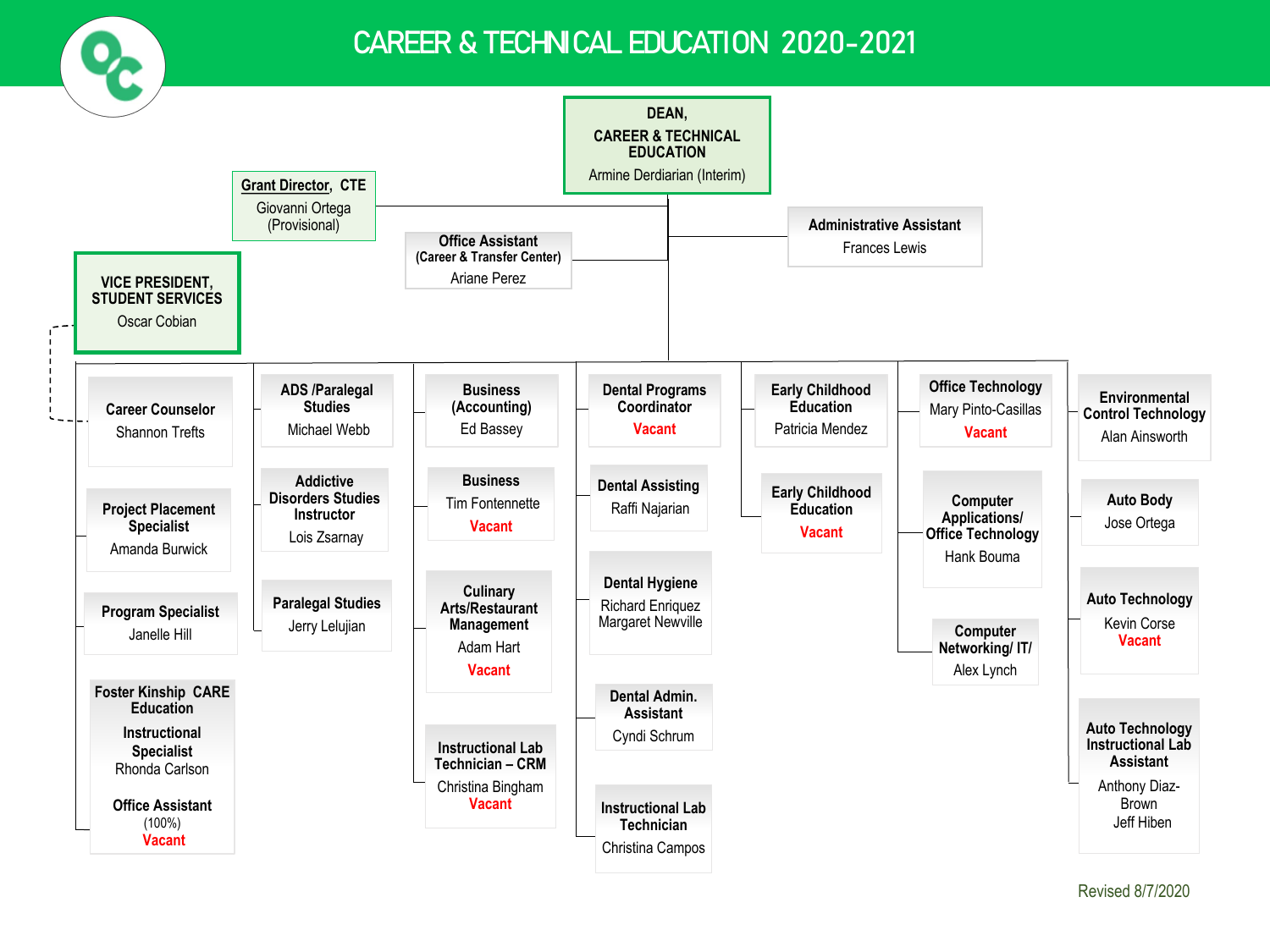

### CAREER & TECHNICAL EDUCATION 2020-2021



Revised 8/7/2020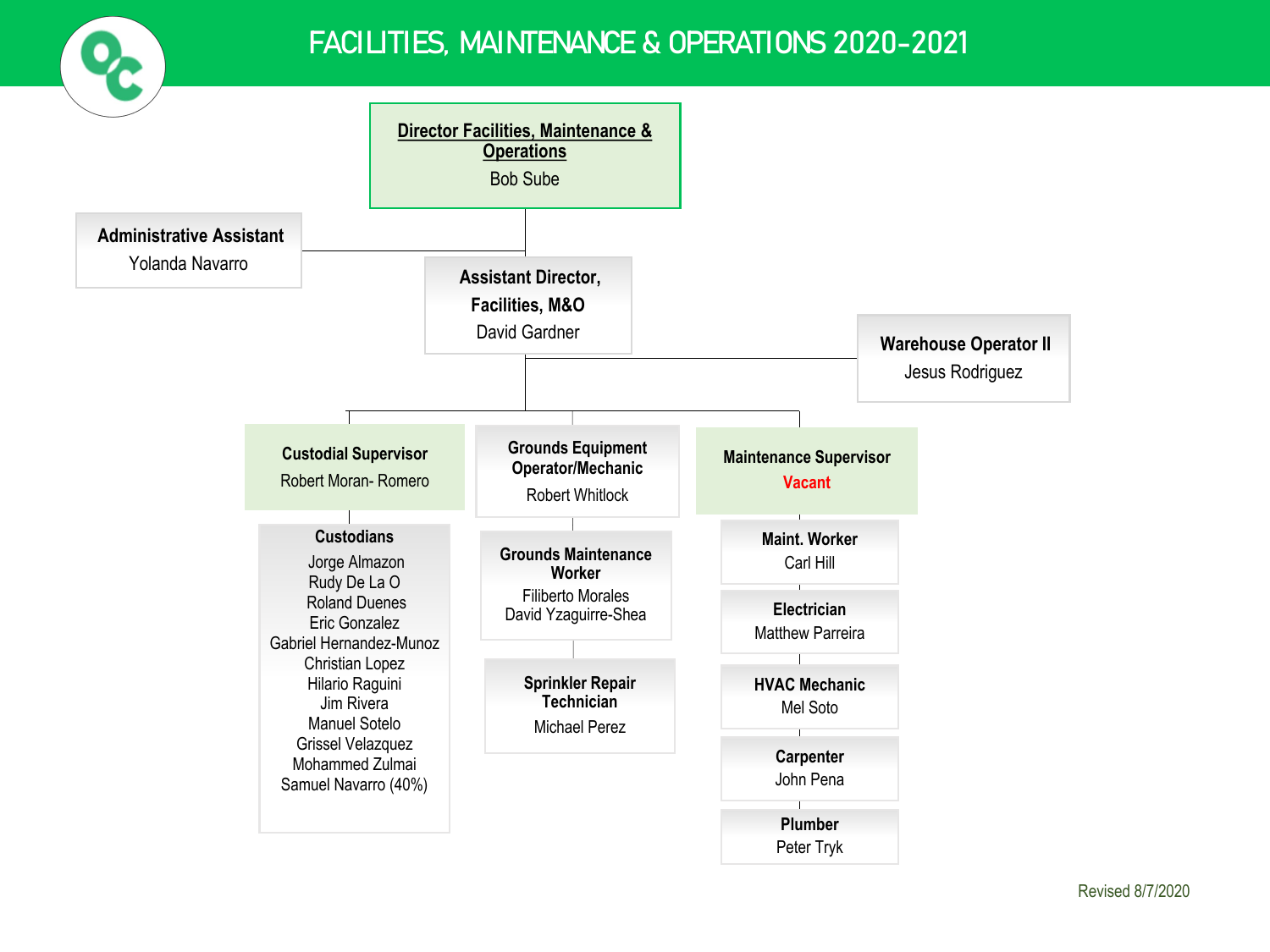

## FACILITIES, MAINTENANCE & OPERATIONS 2020-2021

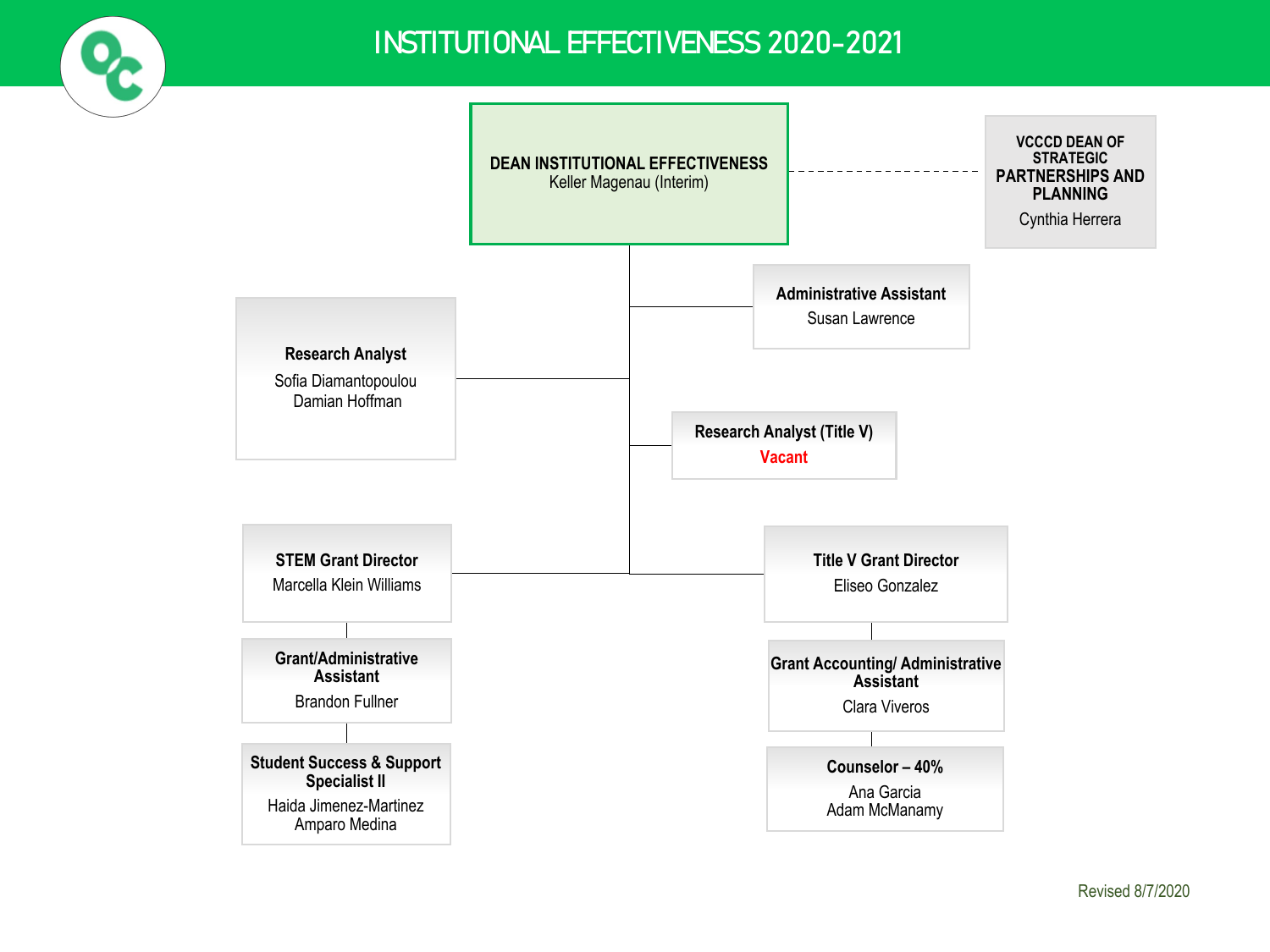

## INSTITUTIONAL EFFECTIVENESS 2020-2021

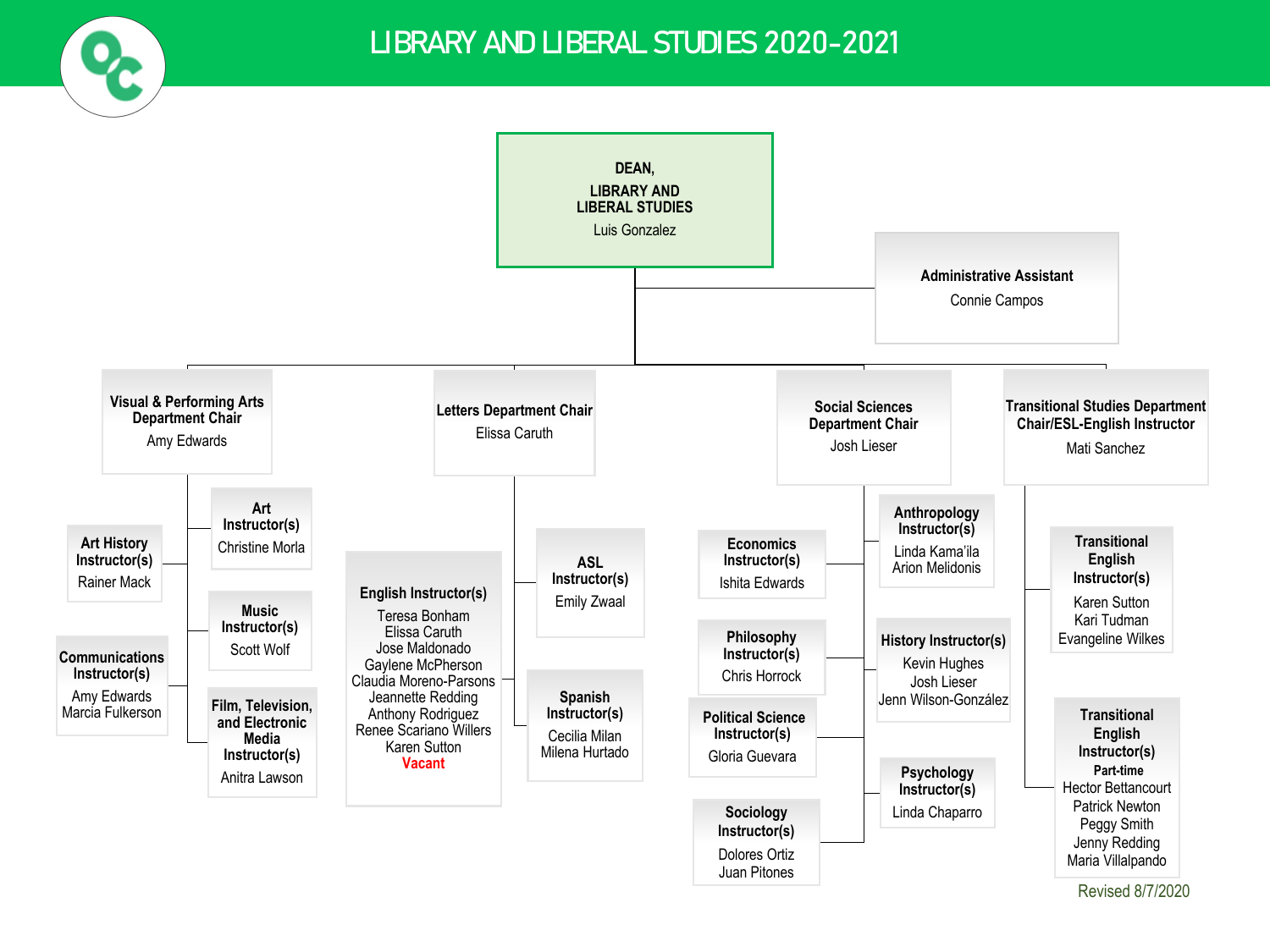

### LIBRARY AND LIBERAL STUDIES 2020-2021

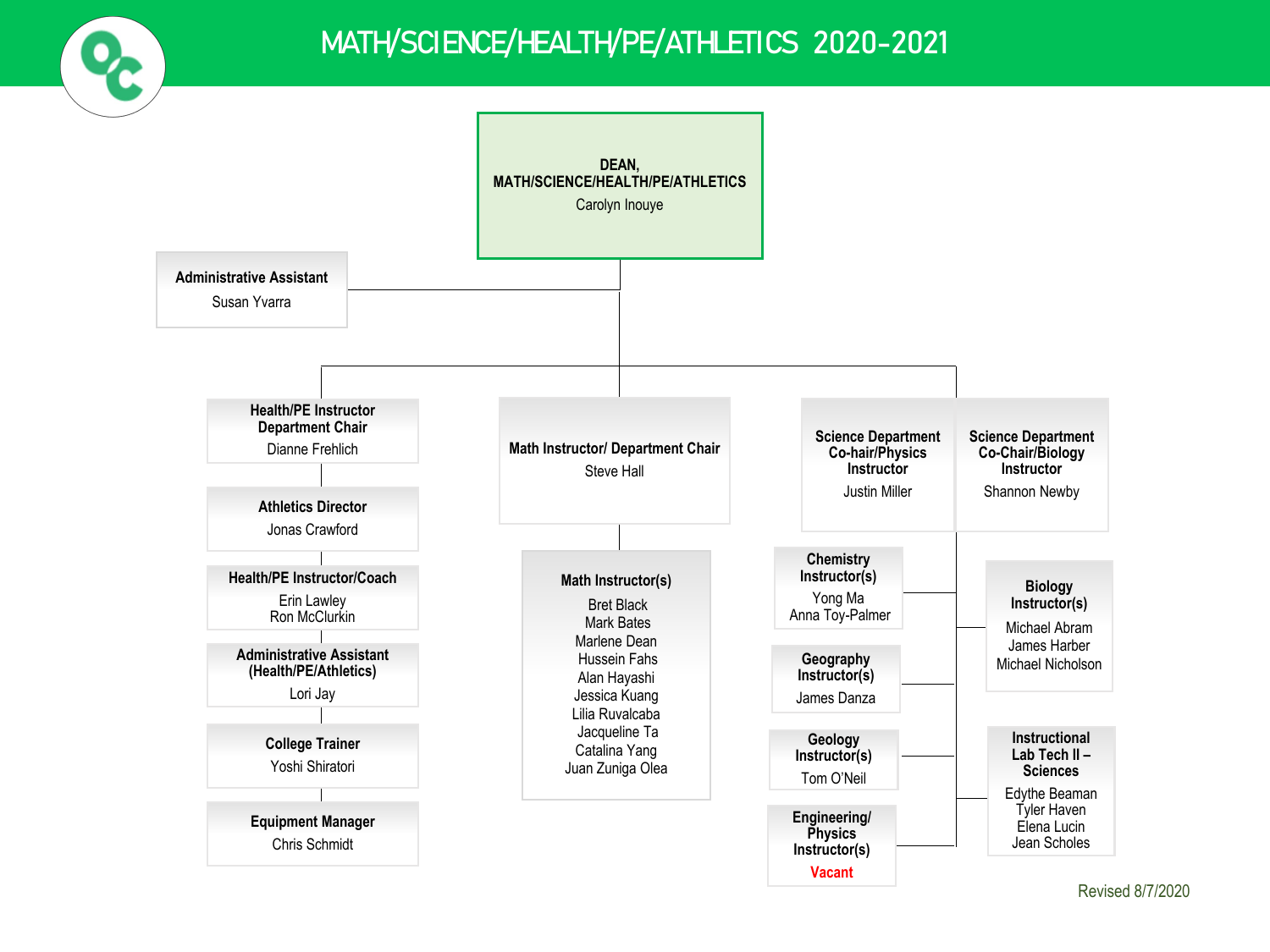

# MATH/SCIENCE/HEALTH/PE/ATHLETICS 2020-2021

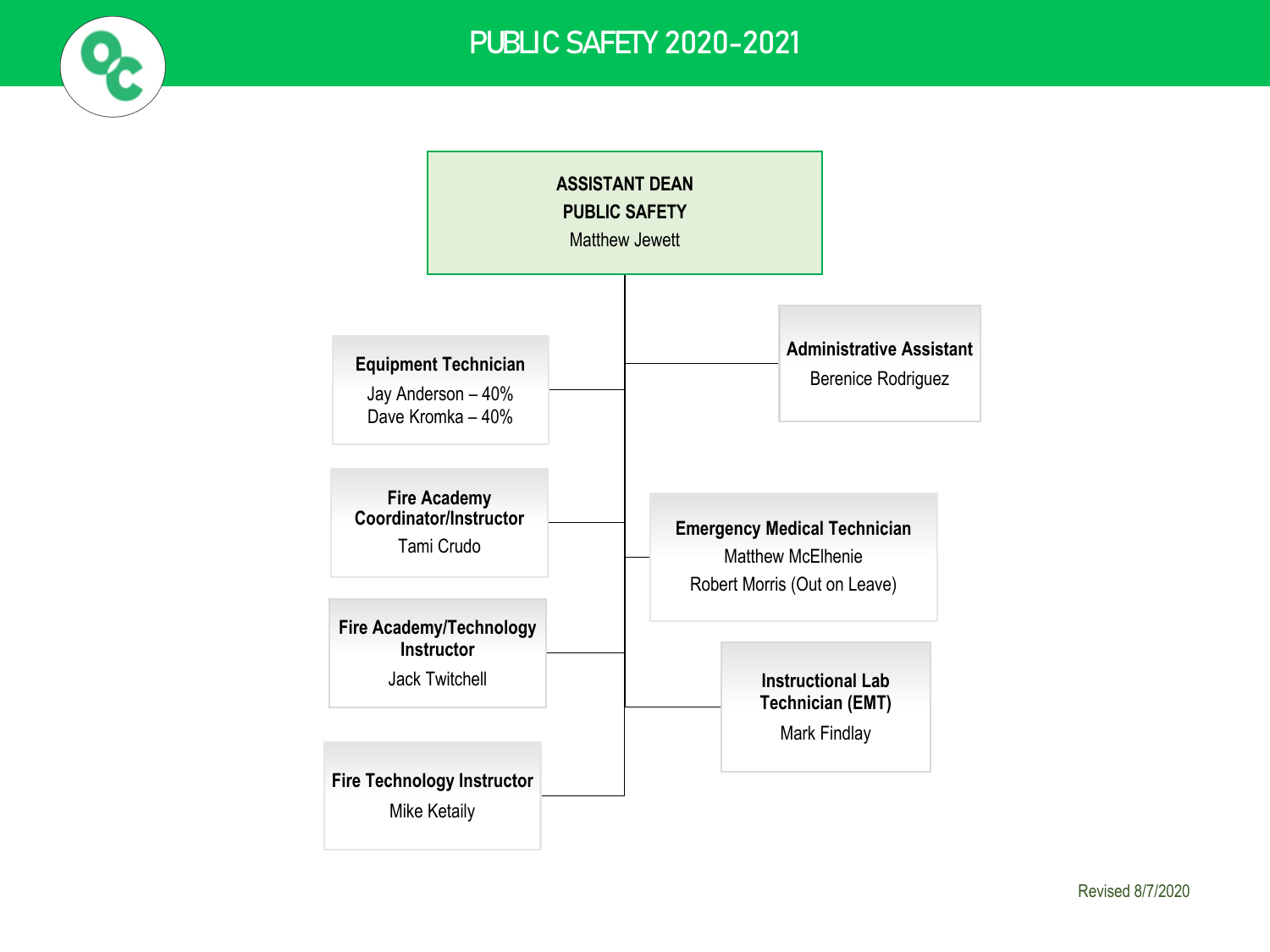